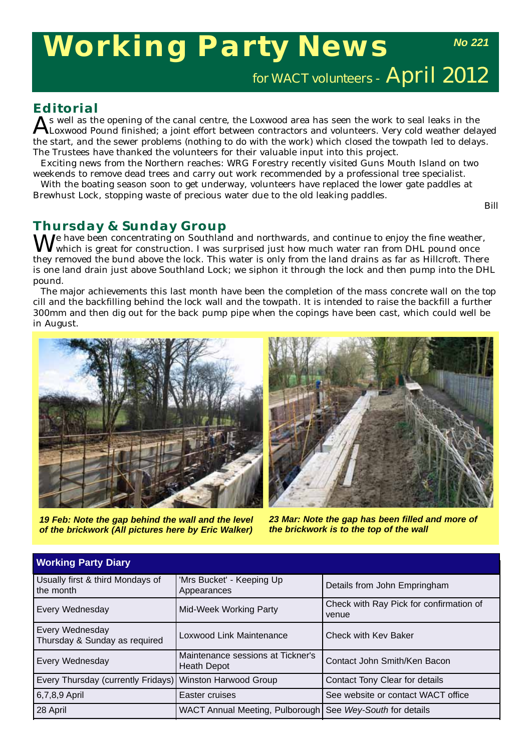# **Working Party News**

*No 221*

for WACT volunteers - April 2012

## **Editorial**

s well as the opening of the canal centre, the Loxwood area has seen the work to seal leaks in the Loxwood Pound finished; a joint effort between contractors and volunteers. Very cold weather delayed the start, and the sewer problems (nothing to do with the work) which closed the towpath led to delays. The Trustees have thanked the volunteers for their valuable input into this project.

Exciting news from the Northern reaches: WRG Forestry recently visited Guns Mouth Island on two weekends to remove dead trees and carry out work recommended by a professional tree specialist.

With the boating season soon to get underway, volunteers have replaced the lower gate paddles at Brewhust Lock, stopping waste of precious water due to the old leaking paddles.

*Bill*

# **Thursday & Sunday Group**

 $M^e$  have been concentrating on Southland and northwards, and continue to enjoy the fine weather, which is great for construction. I was surprised just how much water ran from DHL pound once they removed the bund above the lock. This water is only from the land drains as far as Hillcroft. There is one land drain just above Southland Lock; we siphon it through the lock and then pump into the DHL pound.

The major achievements this last month have been the completion of the mass concrete wall on the top cill and the backfilling behind the lock wall and the towpath. It is intended to raise the backfill a further 300mm and then dig out for the back pump pipe when the copings have been cast, which could well be in August.



*19 Feb: Note the gap behind the wall and the level of the brickwork (All pictures here by Eric Walker)*

**Working Party Diary**



*23 Mar: Note the gap has been filled and more of the brickwork is to the top of the wall*

| <b>WORKING Faily Didly</b>                               |                                                           |                                                  |
|----------------------------------------------------------|-----------------------------------------------------------|--------------------------------------------------|
| Usually first & third Mondays of<br>I the month          | 'Mrs Bucket' - Keeping Up<br>Appearances                  | Details from John Empringham                     |
| Every Wednesday                                          | Mid-Week Working Party                                    | Check with Ray Pick for confirmation of<br>venue |
| Every Wednesday<br>Thursday & Sunday as required         | Loxwood Link Maintenance                                  | Check with Kev Baker                             |
| Every Wednesday                                          | Maintenance sessions at Tickner's<br><b>Heath Depot</b>   | Contact John Smith/Ken Bacon                     |
| Every Thursday (currently Fridays) Winston Harwood Group |                                                           | Contact Tony Clear for details                   |
| $6,7,8,9$ April                                          | Easter cruises                                            | See website or contact WACT office               |
| 28 April                                                 | WACT Annual Meeting, Pulborough See Wey-South for details |                                                  |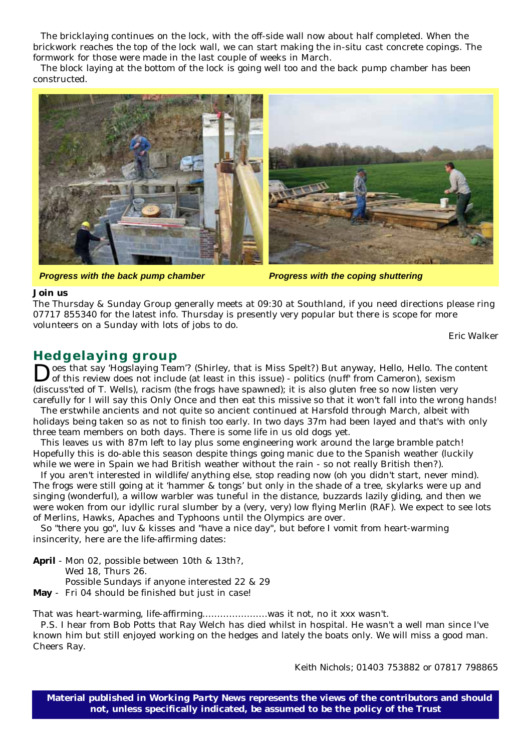The bricklaying continues on the lock, with the off-side wall now about half completed. When the brickwork reaches the top of the lock wall, we can start making the in-situ cast concrete copings. The formwork for those were made in the last couple of weeks in March.

The block laying at the bottom of the lock is going well too and the back pump chamber has been constructed.



*Progress with the back pump chamber Progress with the coping shuttering*

#### **Join us**

The Thursday & Sunday Group generally meets at 09:30 at Southland, if you need directions please ring 07717 855340 for the latest info. Thursday is presently very popular but there is scope for more volunteers on a Sunday with lots of jobs to do.

*Eric Walker*

### **Hedgelaying group**

Does that say 'Hogslaying Team'? (Shirley, that is Miss Spelt?) But anyway, Hello, Hello. The content of this review does not include (at least in this issue) - politics (nuff from Cameron), sexism (discuss'ted of T. Wells), racism (the frogs have spawned); it is also gluten free so now listen very carefully for I will say this Only Once and then eat this missive so that it won't fall into the wrong hands!

The erstwhile ancients and not quite so ancient continued at Harsfold through March, albeit with holidays being taken so as not to finish too early. In two days 37m had been layed and that's with only three team members on both days. There is some life in us old dogs yet.

This leaves us with 87m left to lay plus some engineering work around the large bramble patch! Hopefully this is do-able this season despite things going manic due to the Spanish weather (luckily while we were in Spain we had British weather without the rain - so not really British then?).

If you aren't interested in wildlife/anything else, stop reading now (oh you didn't start, never mind). The frogs were still going at it 'hammer & tongs' but only in the shade of a tree, skylarks were up and singing (wonderful), a willow warbler was tuneful in the distance, buzzards lazily gliding, and then we were woken from our idyllic rural slumber by a (very, very) low flying Merlin (RAF). We expect to see lots of Merlins, Hawks, Apaches and Typhoons until the Olympics are over.

So "there you go", luv & kisses and "have a nice day", but before I vomit from heart-warming insincerity, here are the life-affirming dates:

**April** - Mon 02, possible between 10th & 13th?, Wed 18, Thurs 26. Possible Sundays if anyone interested 22 & 29 **May** - Fri 04 should be finished but just in case!

That was heart-warming, life-affirming………………….was it not, no it xxx wasn't.

P.S. I hear from Bob Potts that Ray Welch has died whilst in hospital. He wasn't a well man since I've known him but still enjoyed working on the hedges and lately the boats only. We will miss a good man. Cheers Ray.

*Keith Nichols; 01403 753882 or 07817 798865*

**Material published in** *Working Party News* **represents the views of the contributors and should not, unless specifically indicated, be assumed to be the policy of the Trust**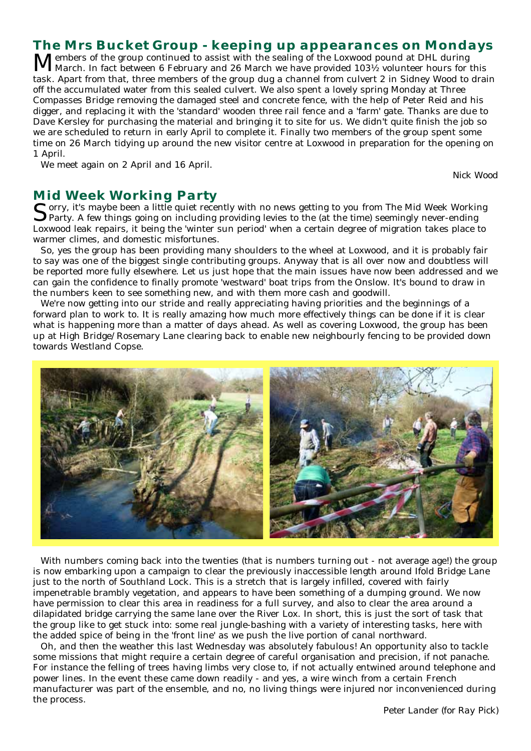# **The Mrs Bucket Group - keeping up appearances on Mondays**

Members of the group continued to assist with the sealing of the Loxwood pound at DHL during<br>March. In fact between 6 February and 26 March we have provided 103½ volunteer hours for this task. Apart from that, three members of the group dug a channel from culvert 2 in Sidney Wood to drain off the accumulated water from this sealed culvert. We also spent a lovely spring Monday at Three Compasses Bridge removing the damaged steel and concrete fence, with the help of Peter Reid and his digger, and replacing it with the 'standard' wooden three rail fence and a 'farm' gate. Thanks are due to Dave Kersley for purchasing the material and bringing it to site for us. We didn't quite finish the job so we are scheduled to return in early April to complete it. Finally two members of the group spent some time on 26 March tidying up around the new visitor centre at Loxwood in preparation for the opening on 1 April.

We meet again on 2 April and 16 April.

*Nick Wood*

#### **Mid Week Working Party**

Corry, it's maybe been a little quiet recently with no news getting to you from The Mid Week Working Party. A few things going on including providing levies to the (at the time) seemingly never-ending Loxwood leak repairs, it being the 'winter sun period' when a certain degree of migration takes place to warmer climes, and domestic misfortunes.

So, yes the group has been providing many shoulders to the wheel at Loxwood, and it is probably fair to say was one of the biggest single contributing groups. Anyway that is all over now and doubtless will be reported more fully elsewhere. Let us just hope that the main issues have now been addressed and we can gain the confidence to finally promote 'westward' boat trips from the Onslow. It's bound to draw in the numbers keen to see something new, and with them more cash and goodwill.

We're now getting into our stride and really appreciating having priorities and the beginnings of a forward plan to work to. It is really amazing how much more effectively things can be done if it is clear what is happening more than a matter of days ahead. As well as covering Loxwood, the group has been up at High Bridge/Rosemary Lane clearing back to enable new neighbourly fencing to be provided down towards Westland Copse.



With numbers coming back into the twenties (that is numbers turning out - not average age!) the group is now embarking upon a campaign to clear the previously inaccessible length around Ifold Bridge Lane just to the north of Southland Lock. This is a stretch that is largely infilled, covered with fairly impenetrable brambly vegetation, and appears to have been something of a dumping ground. We now have permission to clear this area in readiness for a full survey, and also to clear the area around a dilapidated bridge carrying the same lane over the River Lox. In short, this is just the sort of task that the group like to get stuck into: some real jungle-bashing with a variety of interesting tasks, here with the added spice of being in the 'front line' as we push the live portion of canal northward.

Oh, and then the weather this last Wednesday was absolutely fabulous! An opportunity also to tackle some missions that might require a certain degree of careful organisation and precision, if not panache. For instance the felling of trees having limbs very close to, if not actually entwined around telephone and power lines. In the event these came down readily - and yes, a wire winch from a certain French manufacturer was part of the ensemble, and no, no living things were injured nor inconvenienced during the process.